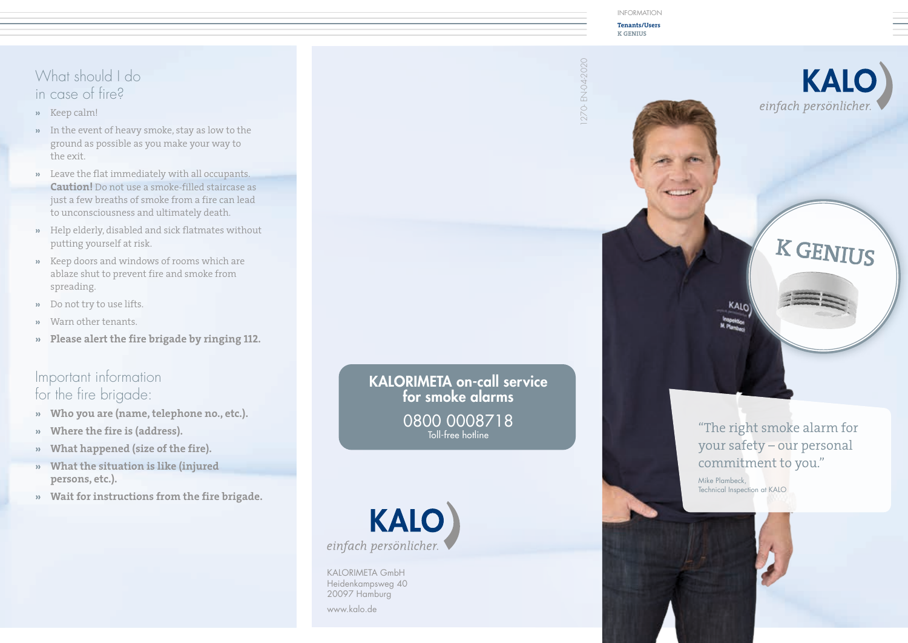#### INFORMATION

**Tenants/Users K GENIUS**



# What should I do in case of fire?

- **»** Keep calm!
- **»** In the event of heavy smoke, stay as low to the ground as possible as you make your way to the exit.
- **»** Leave the flat immediately with all occupants. **Caution!** Do not use a smoke-filled staircase as just a few breaths of smoke from a fire can lead to unconsciousness and ultimately death.
- **»** Help elderly, disabled and sick flatmates without putting yourself at risk.
- **»** Keep doors and windows of rooms which are ablaze shut to prevent fire and smoke from spreading.
- **»** Do not try to use lifts.
- **»** Warn other tenants.
- **» Please alert the fire brigade by ringing 112.**

## Important information for the fire brigade:

- **» Who you are (name, telephone no., etc.).**
- **» Where the fire is (address).**
- **» What happened (size of the fire).**
- **» What the situation is like (injured persons, etc.).**
- **» Wait for instructions from the fire brigade.**

for smoke alarms 0800 0008718



KALORIMETA GmbH Heidenkampsweg 40 20097 Hamburg

www.kalo.de